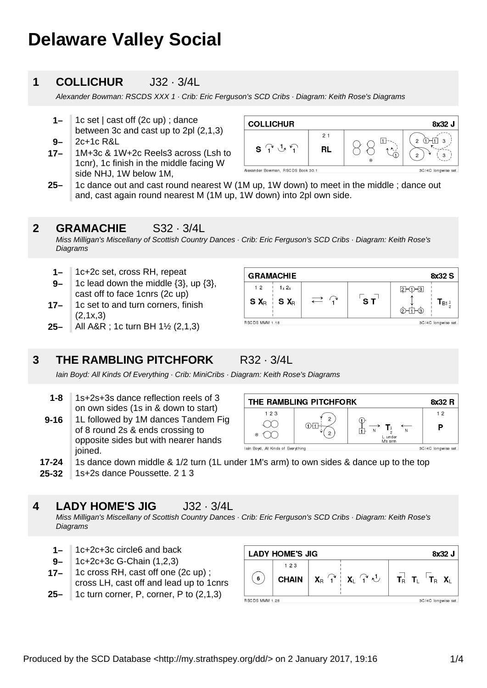# **Delaware Valley Social**

## **1 COLLICHUR** J32 · 3/4L

Alexander Bowman: RSCDS XXX 1 · Crib: Eric Ferguson's SCD Cribs · Diagram: Keith Rose's Diagrams

- **1–** 1c set | cast off (2c up) ; dance between 3c and cast up to 2pl (2,1,3) 2c+1c R&L
- **9–**
- **17–** 1M+3c & 1W+2c Reels3 across (Lsh to 1cnr), 1c finish in the middle facing W side NHJ, 1W below 1M,



**25–** 1c dance out and cast round nearest W (1M up, 1W down) to meet in the middle ; dance out and, cast again round nearest M (1M up, 1W down) into 2pl own side.

#### **2 GRAMACHIE** S32 · 3/4L

Miss Milligan's Miscellany of Scottish Country Dances · Crib: Eric Ferguson's SCD Cribs · Diagram: Keith Rose's **Diagrams** 

- **1–** 1c+2c set, cross RH, repeat
- **9–** 1c lead down the middle {3}, up {3}, cast off to face 1cnrs (2c up)
- **17–** 1c set to and turn corners, finish (2,1x,3)
- **25–** All A&R ; 1c turn BH 1½ (2,1,3)

## **3 THE RAMBLING PITCHFORK** R32 · 3/4L



Iain Boyd: All Kinds Of Everything · Crib: MiniCribs · Diagram: Keith Rose's Diagrams

- **1-8** 1s+2s+3s dance reflection reels of 3 on own sides (1s in & down to start)
- **9-16** 1L followed by 1M dances Tandem Fig of 8 round 2s & ends crossing to opposite sides but with nearer hands joined.
- THE RAMBLING PITCHFORK 8x32 R  $123$  $12$  $\infty$ Þ  $\circ$   $\circ$ lain Boyd, All Kinds of Everything 3C/4C longwise set.
- **17-24** 1s dance down middle & 1/2 turn (1L under 1M's arm) to own sides & dance up to the top
- **25-32** 1s+2s dance Poussette. 2 1 3

**4 LADY HOME'S JIG** J32 · 3/4L

Miss Milligan's Miscellany of Scottish Country Dances · Crib: Eric Ferguson's SCD Cribs · Diagram: Keith Rose's **Diagrams** 

- **1–** 1c+2c+3c circle6 and back
- **9–** 1c+2c+3c G-Chain (1,2,3)
- **17–** 1c cross RH, cast off one (2c up) ; cross LH, cast off and lead up to 1cnrs
- **25–** 1c turn corner, P, corner, P to (2,1,3)

| <b>LADY HOME'S JIG</b><br>8x32 J      |                       |  |                                                                         |                                                 |  |  |
|---------------------------------------|-----------------------|--|-------------------------------------------------------------------------|-------------------------------------------------|--|--|
| 6                                     | 1 2 3<br><b>CHAIN</b> |  | $X_{\text{R}}$ $\widehat{1}$ $X_{\text{L}}$ $\widehat{1}$ $\widehat{2}$ | $T_{\rm B}$ $T_{\rm L}$ $T_{\rm B}$ $X_{\rm L}$ |  |  |
| RSCDS MMM 1.28<br>3C/4C longwise set. |                       |  |                                                                         |                                                 |  |  |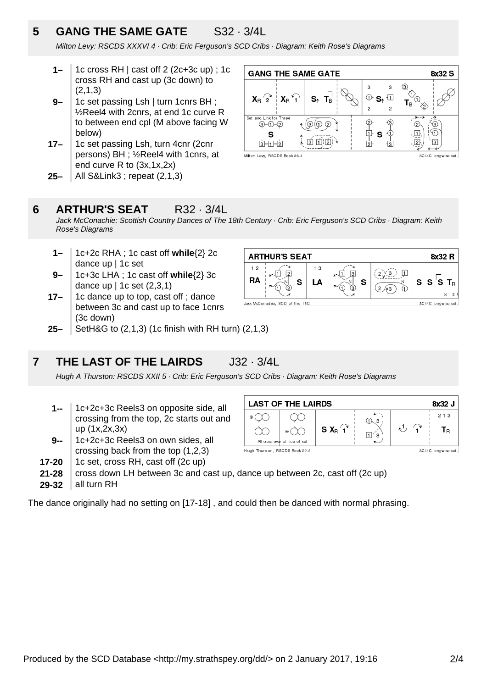## **5 GANG THE SAME GATE** S32 · 3/4L

Milton Levy: RSCDS XXXVI 4 · Crib: Eric Ferguson's SCD Cribs · Diagram: Keith Rose's Diagrams

- **1–** 1c cross RH | cast off 2 (2c+3c up) ; 1c cross RH and cast up (3c down) to  $(2,1,3)$
- **9–** 1c set passing Lsh | turn 1cnrs BH ; ½Reel4 with 2cnrs, at end 1c curve R to between end cpl (M above facing W below)
- **17–** 1c set passing Lsh, turn 4cnr (2cnr persons) BH ; ½Reel4 with 1cnrs, at end curve R to (3x,1x,2x)
- **25–** All S&Link3 ; repeat (2,1,3)



### **6 ARTHUR'S SEAT** R32 · 3/4L

Jack McConachie: Scottish Country Dances of The 18th Century · Crib: Eric Ferguson's SCD Cribs · Diagram: Keith Rose's Diagrams

 $1<sub>2</sub>$ 

**RA** 

**ARTHUR'S SEAT** 

Jack McConachie, SCD of the 18C

 $\sqrt{2}$ 

S

 $\overline{A}$ 

- **1–** 1c+2c RHA ; 1c cast off **while**{2} 2c dance up | 1c set
- **9–** 1c+3c LHA ; 1c cast off **while**{2} 3c dance up | 1c set (2,3,1)
- **17–** 1c dance up to top, cast off ; dance between 3c and cast up to face 1cnrs (3c down)
- **25–** SetH&G to (2,1,3) (1c finish with RH turn) (2,1,3)

## **7 THE LAST OF THE LAIRDS** J32 · 3/4L

Hugh A Thurston: RSCDS XXII 5 · Crib: Eric Ferguson's SCD Cribs · Diagram: Keith Rose's Diagrams

- **1--** 1c+2c+3c Reels3 on opposite side, all crossing from the top, 2c starts out and up (1x,2x,3x)
- **9--** 1c+2c+3c Reels3 on own sides, all crossing back from the top (1,2,3)
- **17-20** 1c set, cross RH, cast off (2c up)
- **21-28** cross down LH between 3c and cast up, dance up between 2c, cast off (2c up)
- **29-32** all turn RH

The dance originally had no setting on [17-18] , and could then be danced with normal phrasing.



S

8x32 R

3C/4C longwise set

3C/4C longwise set.

 $T_{\rm R}$  $\overline{a}$ 

 $\mathbf{s}^{\prime}$ S 's

Hugh Thurston, RSCDS Book 22.5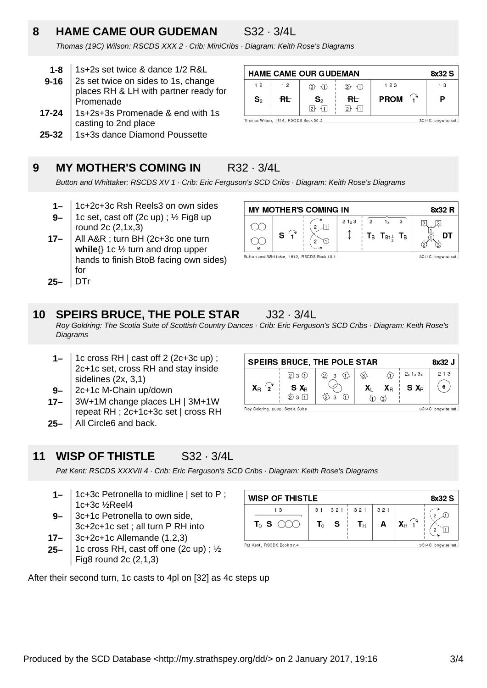## **8 HAME CAME OUR GUDEMAN** S32 · 3/4L

 $12$ 

 $S<sub>2</sub>$ 

Thomas (19C) Wilson: RSCDS XXX 2 · Crib: MiniCribs · Diagram: Keith Rose's Diagrams

- **1-8** 1s+2s set twice & dance 1/2 R&L
- **9-16** 2s set twice on sides to 1s, change places RH & LH with partner ready for Promenade
- **17-24** 1s+2s+3s Promenade & end with 1s casting to 2nd place
- **25-32** 1s+3s dance Diamond Poussette

## **9 MY MOTHER'S COMING IN R32 · 3/4L**

Thomas Wilson, 1816, RSCDS Book 30.2

 $1<sub>2</sub>$ 

 $R_{\rm t}$ 

**HAME CAME OUR GUDEMAN** 

 $(2)$   $(1)$ 

 $\mathbf{S}_2$ 

 $2 - 11$ 

 $2 - 1$ 

 $R_{\rm L}$ 

 $2 + 11$ 

Button and Whittaker: RSCDS XV 1 · Crib: Eric Ferguson's SCD Cribs · Diagram: Keith Rose's Diagrams

- **1–** 1c+2c+3c Rsh Reels3 on own sides
- **9–** 1c set, cast off (2c up) ; ½ Fig8 up round 2c (2,1x,3)
- **17–** All A&R ; turn BH (2c+3c one turn **while**{} 1c ½ turn and drop upper hands to finish BtoB facing own sides) for
- **25–** DTr

## **10 SPEIRS BRUCE, THE POLE STAR** J32 · 3/4L

Roy Goldring: The Scotia Suite of Scottish Country Dances · Crib: Eric Ferguson's SCD Cribs · Diagram: Keith Rose's Diagrams

- **1–** 1c cross RH | cast off 2 (2c+3c up) ; 2c+1c set, cross RH and stay inside sidelines (2x, 3,1)
- **9–** 2c+1c M-Chain up/down
- **17–** 3W+1M change places LH | 3M+1W repeat RH ; 2c+1c+3c set | cross RH
- **25–** All Circle6 and back.

|  | 11 WISP OF THISTLE |  | $S32 \cdot 3/4L$ |
|--|--------------------|--|------------------|
|  |                    |  |                  |

Pat Kent: RSCDS XXXVII 4 · Crib: Eric Ferguson's SCD Cribs · Diagram: Keith Rose's Diagrams

- **1–** 1c+3c Petronella to midline | set to P ; 1c+3c ½Reel4
- **9–** 3c+1c Petronella to own side, 3c+2c+1c set ; all turn P RH into
- **17–** 3c+2c+1c Allemande (1,2,3)
- **25–** 1c cross RH, cast off one (2c up) ; ½ Fig8 round 2c (2,1,3)

After their second turn, 1c casts to 4pl on [32] as 4c steps up

| <b>WISP OF THISTLE</b><br>8x32 S                 |  |                           |                  |     |                               |  |
|--------------------------------------------------|--|---------------------------|------------------|-----|-------------------------------|--|
| 13                                               |  |                           | $31$ $321$ $321$ | 321 |                               |  |
| $\mathbf{T}_{\Diamond }\mathbf{S}$               |  | $T_{\lozenge}$ S $\vdash$ | Тĸ               | A   | $X_{\mathsf{R}}$ $\uparrow^*$ |  |
| Pat Kent, RSCDS Book 37.4<br>3C/4C longwise set. |  |                           |                  |     |                               |  |

**MY MOTHER'S COMING IN** 8x32 R  $21 \times 3$  $\sqrt{2}$  $\overline{3}$  $1<sub>x</sub>$  $\sqrt{2}$  $\sqrt{3}$  $\alpha$  $2 \sqrt{1}$  $\hat{\mathbb{I}}$  $\mathbf{s}$  $\textbf{T}_\mathsf{B}$   $\textbf{T}_{\mathsf{B1}^1_+}$   $\textbf{T}_\mathsf{B}$ דח  $\curvearrowleft$  $\overline{2}$ T Button and Whittaker, 1812, RSCDS Book 15.1 3C/4C longwise set.

8x32 S

 $1<sub>3</sub>$ 

P

3C/4C longwise set

 $123$ 

**PROM** 

 $\widehat{\mathbf{f}}$ 

**SPEIRS BRUCE, THE POLE STAR** 8x32 J  $2x$  1  $x$  3 $x$  $213$  $3 \n\bigoplus$ 金  $230$  $\circled{2}$  $\textcircled{3}$  $X_{\rm B}$   $\widehat{2}$ 6  $\mathbf{X}_{\text{L}}$ S X<sub>R</sub> Ω  $X_{\rm R}$  $S X_R$  $\Phi$  3 $\Pi$ ⊗ ऽें  $\bigoplus$  $\odot$   $\odot$ Roy Goldring, 2002, Scotia Suite 3C/4C longwise set